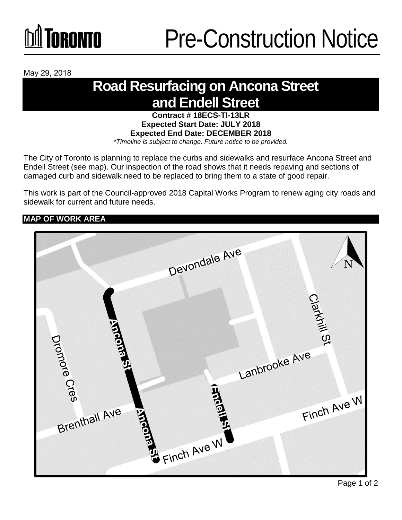# **M** TORONTO

May 29, 2018

### **Road Resurfacing on Ancona Street and Endell Street**

**Contract # 18ECS-TI-13LR Expected Start Date: JULY 2018 Expected End Date: DECEMBER 2018** *\*Timeline is subject to change. Future notice to be provided.*

The City of Toronto is planning to replace the curbs and sidewalks and resurface Ancona Street and Endell Street (see map). Our inspection of the road shows that it needs repaving and sections of damaged curb and sidewalk need to be replaced to bring them to a state of good repair.

This work is part of the Council-approved 2018 Capital Works Program to renew aging city roads and sidewalk for current and future needs.

**MAP OF WORK AREA**